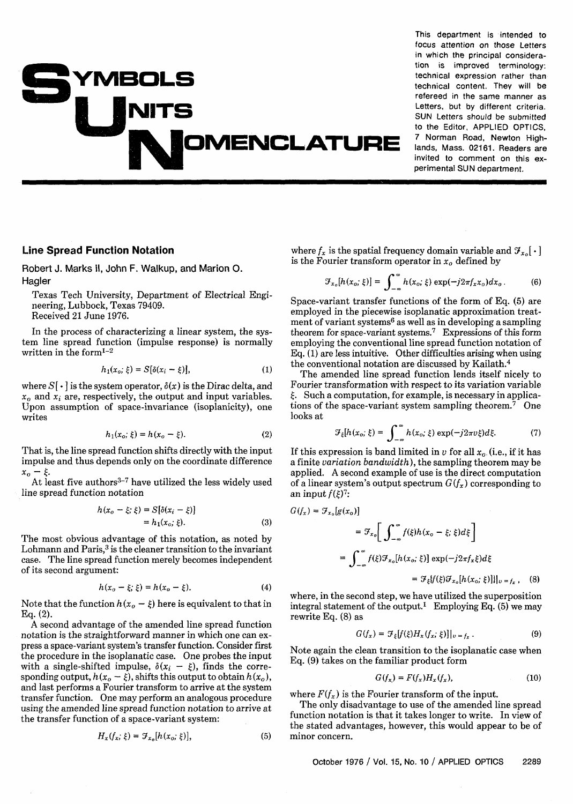## **YMBOLS OMEMCLATURE**

**This department is intended to focus attention on those Letters in which the principal consideration is improved terminology: technical expression rather than technical content. They will be refereed in the same manner as Letters, but by different criteria. SUN Letters should be submitted to the Editor, APPLIED OPTICS, 7 Norman Road, Newton Highlands, Mass. 02161. Readers are invited to comment on this experimental SUN department.** 

## **Line Spread Function Notation**

Robert J. **Marks** II, John F. Walkup, and Marion **0.**  Hagler

Texas Tech University, Department of Electrical Engineering, Lubbock, Texas 79409. Received 21 June 1976.

In the process of characterizing a linear system, the system line spread function (impulse response) is normally written in the form $1-2$ 

$$
h_1(x_o; \xi) = S[\delta(x_i - \xi)], \qquad (1)
$$

where  $S[\cdot]$  is the system operator,  $\delta(x)$  is the Dirac delta, and  $x<sub>0</sub>$  and  $x<sub>i</sub>$  are, respectively, the output and input variables. Upon assumption of space-invariance (isoplanicity), one writes

$$
h_1(x_o; \xi) = h(x_o - \xi). \tag{2}
$$

That is, the line spread function shifts directly with the input impulse and thus depends only on the coordinate difference  $x_o - \xi$ .

At least five authors $3-7$  have utilized the less widely used line spread function notation

$$
h(x_o - \xi; \xi) = S[\delta(x_i - \xi)]
$$
  
=  $h_1(x_o; \xi)$ . (3)

The most obvious advantage of this notation, as noted by Lohmann and Paris, $3$  is the cleaner transition to the invariant case. The line spread function merely becomes independent of its second argument:

$$
h(x_o - \xi; \xi) = h(x_o - \xi).
$$
 (4)

Note that the function  $h(x_0 - \xi)$  here is equivalent to that in **Eq.** (2).

**A** second advantage of the amended line spread function notation is the straightforward manner in which one can express a space-variant system's transfer function. Consider first the procedure in the isoplanatic case. One probes the input with a single-shifted impulse,  $\delta(x_i - \xi)$ , finds the corresponding output,  $h(x_0 - \xi)$ , shifts this output to obtain  $h(x_0)$ , and last performs a Fourier transform to arrive at the system transfer function. One may perform an analogous procedure using the amended line spread function notation to arrive at the transfer function of a space-variant system:

$$
H_x(f_x; \xi) = \mathcal{F}_{x_0}[h(x_0; \xi)], \qquad (5)
$$

where  $f_x$  is the spatial frequency domain variable and  $\mathcal{F}_{x_0}[\cdot]$ is the Fourier transform operator in  $x_0$  defined by

$$
\mathcal{F}_{x_0}[h(x_o; \xi)] = \int_{-\infty}^{\infty} h(x_o; \xi) \exp(-j2\pi f_x x_o) dx_o.
$$
 (6)

Space-variant transfer functions of the form of Eq. (5) are employed in the piecewise isoplanatic approximation treatment of variant systems6 as well as in developing a sampling theorem for space-variant systems.<sup>7</sup> Expressions of this form employing the conventional line spread function notation of Eq. (1) are less intuitive. Other difficulties arising when using the conventional notation are discussed by Kailath. $4$ 

The amended line spread function lends itself nicely to Fourier transformation with respect to its variation variable  $\xi$ . Such a computation, for example, is necessary in applications of the space-variant system sampling theorem.<sup>7</sup> One looks at

$$
\mathcal{F}_{\xi}[h(x_o;\xi) = \int_{-\infty}^{\infty} h(x_o;\xi) \exp(-j2\pi \nu \xi) d\xi. \tag{7}
$$

If this expression is band limited in v for all  $x_0$  (i.e., if it has a finite variation bandwidth), the sampling theorem may be applied. A second example of use is the direct computation of a linear system's output spectrum  $G(f_x)$  corresponding to an input  $f(\xi)^7$ :

$$
G(f_x) = \mathcal{F}_{x_0}[g(x_0)]
$$
  
\n
$$
= \mathcal{F}_{x_0}\bigg[\int_{-\infty}^{\infty} f(\xi)h(x_0 - \xi; \xi)d\xi\bigg]
$$
  
\n
$$
= \int_{-\infty}^{\infty} f(\xi)\mathcal{F}_{x_0}[h(x_0; \xi)] \exp(-j2\pi f_x\xi)d\xi
$$
  
\n
$$
= \mathcal{F}_{\xi}[f(\xi)\mathcal{F}_{x_0}[h(x_0; \xi)]]|_{v=f_x}, \quad (8)
$$

where, in the second step, we have utilized the superposition integral statement of the output.<sup>1</sup> Employing Eq. (5) we may rewrite Eq. (8) as

$$
G(f_x) = \mathcal{F}_{\xi}[f(\xi)H_x(f_x;\xi)]|_{v=f_x}.
$$
 (9)

Note again the clean transition to the isoplanatic case when **Eq.** (9) takes on the familiar product form

$$
G(f_x) = F(f_x)H_x(f_x), \qquad (10)
$$

where  $F(f_x)$  is the Fourier transform of the input.

The only disadvantage to use of the amended line spread function notation is that it takes longer to write. In view of the stated advantages, however, this would appear to be of minor concern.